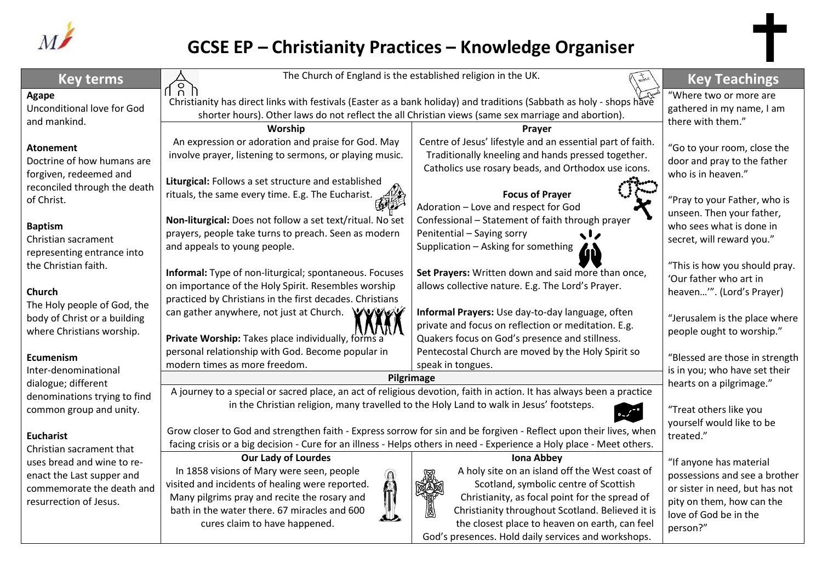

## **GCSE EP – Christianity Practices – Knowledge Organiser**

| <b>Key terms</b>                                                                                                                                                                                  | The Church of England is the established religion in the UK.                                                                                                                                                                                                |                                                                                                                                                                                                                                                                                                                             | <b>Key Teachings</b>                                                                                                                                         |
|---------------------------------------------------------------------------------------------------------------------------------------------------------------------------------------------------|-------------------------------------------------------------------------------------------------------------------------------------------------------------------------------------------------------------------------------------------------------------|-----------------------------------------------------------------------------------------------------------------------------------------------------------------------------------------------------------------------------------------------------------------------------------------------------------------------------|--------------------------------------------------------------------------------------------------------------------------------------------------------------|
| Agape<br>Unconditional love for God<br>and mankind.                                                                                                                                               | ፈሄ ሥ<br>Christianity has direct links with festivals (Easter as a bank holiday) and traditions (Sabbath as holy - shops have<br>shorter hours). Other laws do not reflect the all Christian views (same sex marriage and abortion).                         |                                                                                                                                                                                                                                                                                                                             | "Where two or more are<br>gathered in my name, I am<br>there with them."                                                                                     |
|                                                                                                                                                                                                   | Worship                                                                                                                                                                                                                                                     | Prayer                                                                                                                                                                                                                                                                                                                      |                                                                                                                                                              |
| <b>Atonement</b><br>Doctrine of how humans are<br>forgiven, redeemed and                                                                                                                          | An expression or adoration and praise for God. May<br>involve prayer, listening to sermons, or playing music.<br>Liturgical: Follows a set structure and established                                                                                        | Centre of Jesus' lifestyle and an essential part of faith.<br>Traditionally kneeling and hands pressed together.<br>Catholics use rosary beads, and Orthodox use icons.                                                                                                                                                     | "Go to your room, close the<br>door and pray to the father<br>who is in heaven."                                                                             |
| reconciled through the death<br>of Christ.                                                                                                                                                        | rituals, the same every time. E.g. The Eucharist.                                                                                                                                                                                                           | <b>Focus of Prayer</b><br>Adoration - Love and respect for God                                                                                                                                                                                                                                                              | "Pray to your Father, who is<br>unseen. Then your father,                                                                                                    |
| <b>Baptism</b><br>Christian sacrament<br>representing entrance into<br>the Christian faith.<br>Church<br>The Holy people of God, the<br>body of Christ or a building<br>where Christians worship. | Non-liturgical: Does not follow a set text/ritual. No set<br>prayers, people take turns to preach. Seen as modern<br>and appeals to young people.                                                                                                           | Confessional - Statement of faith through prayer<br>Penitential - Saying sorry<br><b>slz</b><br>Supplication - Asking for something                                                                                                                                                                                         | who sees what is done in<br>secret, will reward you."                                                                                                        |
|                                                                                                                                                                                                   | Informal: Type of non-liturgical; spontaneous. Focuses<br>on importance of the Holy Spirit. Resembles worship<br>practiced by Christians in the first decades. Christians                                                                                   | Set Prayers: Written down and said more than once,<br>allows collective nature. E.g. The Lord's Prayer.                                                                                                                                                                                                                     | "This is how you should pray.<br>'Our father who art in<br>heaven'". (Lord's Prayer)                                                                         |
|                                                                                                                                                                                                   | can gather anywhere, not just at Church. WWWW<br>Private Worship: Takes place individually, forms a                                                                                                                                                         | Informal Prayers: Use day-to-day language, often<br>private and focus on reflection or meditation. E.g.<br>Quakers focus on God's presence and stillness.                                                                                                                                                                   | "Jerusalem is the place where<br>people ought to worship."                                                                                                   |
| Ecumenism<br>Inter-denominational<br>dialogue; different<br>denominations trying to find                                                                                                          | personal relationship with God. Become popular in<br>modern times as more freedom.                                                                                                                                                                          | Pentecostal Church are moved by the Holy Spirit so<br>speak in tongues.                                                                                                                                                                                                                                                     | "Blessed are those in strength<br>is in you; who have set their                                                                                              |
|                                                                                                                                                                                                   | Pilgrimage                                                                                                                                                                                                                                                  |                                                                                                                                                                                                                                                                                                                             | hearts on a pilgrimage."                                                                                                                                     |
|                                                                                                                                                                                                   | A journey to a special or sacred place, an act of religious devotion, faith in action. It has always been a practice                                                                                                                                        |                                                                                                                                                                                                                                                                                                                             |                                                                                                                                                              |
| common group and unity.                                                                                                                                                                           | in the Christian religion, many travelled to the Holy Land to walk in Jesus' footsteps.                                                                                                                                                                     |                                                                                                                                                                                                                                                                                                                             | "Treat others like you<br>yourself would like to be                                                                                                          |
| <b>Eucharist</b><br>Christian sacrament that<br>uses bread and wine to re-<br>enact the Last supper and<br>commemorate the death and<br>resurrection of Jesus.                                    | Grow closer to God and strengthen faith - Express sorrow for sin and be forgiven - Reflect upon their lives, when<br>facing crisis or a big decision - Cure for an illness - Helps others in need - Experience a Holy place - Meet others.                  |                                                                                                                                                                                                                                                                                                                             | treated."                                                                                                                                                    |
|                                                                                                                                                                                                   | <b>Our Lady of Lourdes</b><br>In 1858 visions of Mary were seen, people<br>visited and incidents of healing were reported.<br>Many pilgrims pray and recite the rosary and<br>bath in the water there. 67 miracles and 600<br>cures claim to have happened. | <b>Iona Abbey</b><br>A holy site on an island off the West coast of<br>Scotland, symbolic centre of Scottish<br>Christianity, as focal point for the spread of<br>Christianity throughout Scotland. Believed it is<br>the closest place to heaven on earth, can feel<br>God's presences. Hold daily services and workshops. | "If anyone has material<br>possessions and see a brother<br>or sister in need, but has not<br>pity on them, how can the<br>love of God be in the<br>person?" |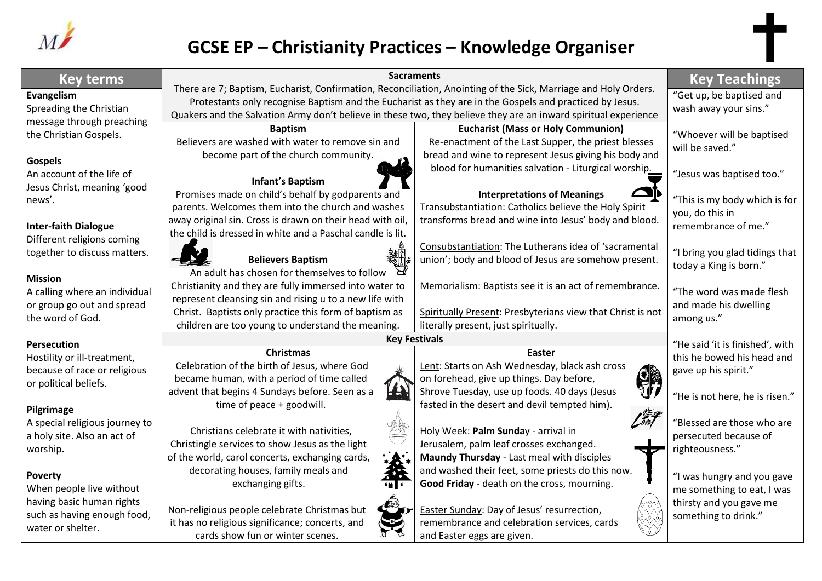

## **GCSE EP – Christianity Practices – Knowledge Organiser**

| <b>Key terms</b><br>There are 7; Baptism, Eucharist, Confirmation, Reconciliation, Anointing of the Sick, Marriage and Holy Orders.<br>"Get up, be baptised and<br>Evangelism<br>Protestants only recognise Baptism and the Eucharist as they are in the Gospels and practiced by Jesus.<br>Spreading the Christian<br>wash away your sins."<br>Quakers and the Salvation Army don't believe in these two, they believe they are an inward spiritual experience<br>message through preaching<br><b>Eucharist (Mass or Holy Communion)</b><br><b>Baptism</b><br>"Whoever will be baptised<br>the Christian Gospels.<br>Believers are washed with water to remove sin and<br>Re-enactment of the Last Supper, the priest blesses<br>will be saved."<br>become part of the church community.<br>bread and wine to represent Jesus giving his body and<br><b>Gospels</b><br>blood for humanities salvation - Liturgical worship.<br>"Jesus was baptised too."<br>An account of the life of<br><b>Infant's Baptism</b><br>Jesus Christ, meaning 'good<br>Promises made on child's behalf by godparents and<br><b>Interpretations of Meanings</b><br>"This is my body which is for<br>news'.<br>parents. Welcomes them into the church and washes<br>Transubstantiation: Catholics believe the Holy Spirit<br>you, do this in<br>away original sin. Cross is drawn on their head with oil,<br>transforms bread and wine into Jesus' body and blood.<br>remembrance of me."<br><b>Inter-faith Dialogue</b><br>the child is dressed in white and a Paschal candle is lit.<br>Different religions coming<br>Consubstantiation: The Lutherans idea of 'sacramental<br>together to discuss matters.<br>"I bring you glad tidings that<br>union'; body and blood of Jesus are somehow present.<br><b>Believers Baptism</b><br>today a King is born."<br>$\mathcal{F}$<br>An adult has chosen for themselves to follow<br><b>Mission</b><br>Christianity and they are fully immersed into water to<br>Memorialism: Baptists see it is an act of remembrance.<br>"The word was made flesh<br>A calling where an individual<br>represent cleansing sin and rising u to a new life with<br>or group go out and spread<br>and made his dwelling<br>Christ. Baptists only practice this form of baptism as<br>Spiritually Present: Presbyterians view that Christ is not<br>the word of God.<br>among us."<br>children are too young to understand the meaning.<br>literally present, just spiritually.<br><b>Key Festivals</b><br>"He said 'it is finished', with<br><b>Persecution</b><br><b>Christmas</b><br>Easter<br>this he bowed his head and<br>Hostility or ill-treatment,<br>Celebration of the birth of Jesus, where God<br>Lent: Starts on Ash Wednesday, black ash cross<br>because of race or religious<br>gave up his spirit."<br>\$<br>became human, with a period of time called<br>on forehead, give up things. Day before,<br>or political beliefs.<br>FA<br>advent that begins 4 Sundays before. Seen as a<br>Shrove Tuesday, use up foods. 40 days (Jesus<br>"He is not here, he is risen."<br>time of peace + goodwill.<br>fasted in the desert and devil tempted him).<br>Pilgrimage<br>"Blessed are those who are<br>A special religious journey to<br>Christians celebrate it with nativities,<br>Holy Week: Palm Sunday - arrival in<br>persecuted because of<br>a holy site. Also an act of | <b>Key Teachings</b> |
|------------------------------------------------------------------------------------------------------------------------------------------------------------------------------------------------------------------------------------------------------------------------------------------------------------------------------------------------------------------------------------------------------------------------------------------------------------------------------------------------------------------------------------------------------------------------------------------------------------------------------------------------------------------------------------------------------------------------------------------------------------------------------------------------------------------------------------------------------------------------------------------------------------------------------------------------------------------------------------------------------------------------------------------------------------------------------------------------------------------------------------------------------------------------------------------------------------------------------------------------------------------------------------------------------------------------------------------------------------------------------------------------------------------------------------------------------------------------------------------------------------------------------------------------------------------------------------------------------------------------------------------------------------------------------------------------------------------------------------------------------------------------------------------------------------------------------------------------------------------------------------------------------------------------------------------------------------------------------------------------------------------------------------------------------------------------------------------------------------------------------------------------------------------------------------------------------------------------------------------------------------------------------------------------------------------------------------------------------------------------------------------------------------------------------------------------------------------------------------------------------------------------------------------------------------------------------------------------------------------------------------------------------------------------------------------------------------------------------------------------------------------------------------------------------------------------------------------------------------------------------------------------------------------------------------------------------------------------------------------------------------------------------------------------------------------------------------------------------------------------------------------------------------------------------------------------------------------------------------------------------------------------------------------------------------------------------------------------------------------------------------------------------|----------------------|
|                                                                                                                                                                                                                                                                                                                                                                                                                                                                                                                                                                                                                                                                                                                                                                                                                                                                                                                                                                                                                                                                                                                                                                                                                                                                                                                                                                                                                                                                                                                                                                                                                                                                                                                                                                                                                                                                                                                                                                                                                                                                                                                                                                                                                                                                                                                                                                                                                                                                                                                                                                                                                                                                                                                                                                                                                                                                                                                                                                                                                                                                                                                                                                                                                                                                                                                                                                                                      |                      |
|                                                                                                                                                                                                                                                                                                                                                                                                                                                                                                                                                                                                                                                                                                                                                                                                                                                                                                                                                                                                                                                                                                                                                                                                                                                                                                                                                                                                                                                                                                                                                                                                                                                                                                                                                                                                                                                                                                                                                                                                                                                                                                                                                                                                                                                                                                                                                                                                                                                                                                                                                                                                                                                                                                                                                                                                                                                                                                                                                                                                                                                                                                                                                                                                                                                                                                                                                                                                      |                      |
|                                                                                                                                                                                                                                                                                                                                                                                                                                                                                                                                                                                                                                                                                                                                                                                                                                                                                                                                                                                                                                                                                                                                                                                                                                                                                                                                                                                                                                                                                                                                                                                                                                                                                                                                                                                                                                                                                                                                                                                                                                                                                                                                                                                                                                                                                                                                                                                                                                                                                                                                                                                                                                                                                                                                                                                                                                                                                                                                                                                                                                                                                                                                                                                                                                                                                                                                                                                                      |                      |
|                                                                                                                                                                                                                                                                                                                                                                                                                                                                                                                                                                                                                                                                                                                                                                                                                                                                                                                                                                                                                                                                                                                                                                                                                                                                                                                                                                                                                                                                                                                                                                                                                                                                                                                                                                                                                                                                                                                                                                                                                                                                                                                                                                                                                                                                                                                                                                                                                                                                                                                                                                                                                                                                                                                                                                                                                                                                                                                                                                                                                                                                                                                                                                                                                                                                                                                                                                                                      |                      |
|                                                                                                                                                                                                                                                                                                                                                                                                                                                                                                                                                                                                                                                                                                                                                                                                                                                                                                                                                                                                                                                                                                                                                                                                                                                                                                                                                                                                                                                                                                                                                                                                                                                                                                                                                                                                                                                                                                                                                                                                                                                                                                                                                                                                                                                                                                                                                                                                                                                                                                                                                                                                                                                                                                                                                                                                                                                                                                                                                                                                                                                                                                                                                                                                                                                                                                                                                                                                      |                      |
|                                                                                                                                                                                                                                                                                                                                                                                                                                                                                                                                                                                                                                                                                                                                                                                                                                                                                                                                                                                                                                                                                                                                                                                                                                                                                                                                                                                                                                                                                                                                                                                                                                                                                                                                                                                                                                                                                                                                                                                                                                                                                                                                                                                                                                                                                                                                                                                                                                                                                                                                                                                                                                                                                                                                                                                                                                                                                                                                                                                                                                                                                                                                                                                                                                                                                                                                                                                                      |                      |
|                                                                                                                                                                                                                                                                                                                                                                                                                                                                                                                                                                                                                                                                                                                                                                                                                                                                                                                                                                                                                                                                                                                                                                                                                                                                                                                                                                                                                                                                                                                                                                                                                                                                                                                                                                                                                                                                                                                                                                                                                                                                                                                                                                                                                                                                                                                                                                                                                                                                                                                                                                                                                                                                                                                                                                                                                                                                                                                                                                                                                                                                                                                                                                                                                                                                                                                                                                                                      |                      |
|                                                                                                                                                                                                                                                                                                                                                                                                                                                                                                                                                                                                                                                                                                                                                                                                                                                                                                                                                                                                                                                                                                                                                                                                                                                                                                                                                                                                                                                                                                                                                                                                                                                                                                                                                                                                                                                                                                                                                                                                                                                                                                                                                                                                                                                                                                                                                                                                                                                                                                                                                                                                                                                                                                                                                                                                                                                                                                                                                                                                                                                                                                                                                                                                                                                                                                                                                                                                      |                      |
|                                                                                                                                                                                                                                                                                                                                                                                                                                                                                                                                                                                                                                                                                                                                                                                                                                                                                                                                                                                                                                                                                                                                                                                                                                                                                                                                                                                                                                                                                                                                                                                                                                                                                                                                                                                                                                                                                                                                                                                                                                                                                                                                                                                                                                                                                                                                                                                                                                                                                                                                                                                                                                                                                                                                                                                                                                                                                                                                                                                                                                                                                                                                                                                                                                                                                                                                                                                                      |                      |
|                                                                                                                                                                                                                                                                                                                                                                                                                                                                                                                                                                                                                                                                                                                                                                                                                                                                                                                                                                                                                                                                                                                                                                                                                                                                                                                                                                                                                                                                                                                                                                                                                                                                                                                                                                                                                                                                                                                                                                                                                                                                                                                                                                                                                                                                                                                                                                                                                                                                                                                                                                                                                                                                                                                                                                                                                                                                                                                                                                                                                                                                                                                                                                                                                                                                                                                                                                                                      |                      |
|                                                                                                                                                                                                                                                                                                                                                                                                                                                                                                                                                                                                                                                                                                                                                                                                                                                                                                                                                                                                                                                                                                                                                                                                                                                                                                                                                                                                                                                                                                                                                                                                                                                                                                                                                                                                                                                                                                                                                                                                                                                                                                                                                                                                                                                                                                                                                                                                                                                                                                                                                                                                                                                                                                                                                                                                                                                                                                                                                                                                                                                                                                                                                                                                                                                                                                                                                                                                      |                      |
|                                                                                                                                                                                                                                                                                                                                                                                                                                                                                                                                                                                                                                                                                                                                                                                                                                                                                                                                                                                                                                                                                                                                                                                                                                                                                                                                                                                                                                                                                                                                                                                                                                                                                                                                                                                                                                                                                                                                                                                                                                                                                                                                                                                                                                                                                                                                                                                                                                                                                                                                                                                                                                                                                                                                                                                                                                                                                                                                                                                                                                                                                                                                                                                                                                                                                                                                                                                                      |                      |
|                                                                                                                                                                                                                                                                                                                                                                                                                                                                                                                                                                                                                                                                                                                                                                                                                                                                                                                                                                                                                                                                                                                                                                                                                                                                                                                                                                                                                                                                                                                                                                                                                                                                                                                                                                                                                                                                                                                                                                                                                                                                                                                                                                                                                                                                                                                                                                                                                                                                                                                                                                                                                                                                                                                                                                                                                                                                                                                                                                                                                                                                                                                                                                                                                                                                                                                                                                                                      |                      |
|                                                                                                                                                                                                                                                                                                                                                                                                                                                                                                                                                                                                                                                                                                                                                                                                                                                                                                                                                                                                                                                                                                                                                                                                                                                                                                                                                                                                                                                                                                                                                                                                                                                                                                                                                                                                                                                                                                                                                                                                                                                                                                                                                                                                                                                                                                                                                                                                                                                                                                                                                                                                                                                                                                                                                                                                                                                                                                                                                                                                                                                                                                                                                                                                                                                                                                                                                                                                      |                      |
|                                                                                                                                                                                                                                                                                                                                                                                                                                                                                                                                                                                                                                                                                                                                                                                                                                                                                                                                                                                                                                                                                                                                                                                                                                                                                                                                                                                                                                                                                                                                                                                                                                                                                                                                                                                                                                                                                                                                                                                                                                                                                                                                                                                                                                                                                                                                                                                                                                                                                                                                                                                                                                                                                                                                                                                                                                                                                                                                                                                                                                                                                                                                                                                                                                                                                                                                                                                                      |                      |
|                                                                                                                                                                                                                                                                                                                                                                                                                                                                                                                                                                                                                                                                                                                                                                                                                                                                                                                                                                                                                                                                                                                                                                                                                                                                                                                                                                                                                                                                                                                                                                                                                                                                                                                                                                                                                                                                                                                                                                                                                                                                                                                                                                                                                                                                                                                                                                                                                                                                                                                                                                                                                                                                                                                                                                                                                                                                                                                                                                                                                                                                                                                                                                                                                                                                                                                                                                                                      |                      |
|                                                                                                                                                                                                                                                                                                                                                                                                                                                                                                                                                                                                                                                                                                                                                                                                                                                                                                                                                                                                                                                                                                                                                                                                                                                                                                                                                                                                                                                                                                                                                                                                                                                                                                                                                                                                                                                                                                                                                                                                                                                                                                                                                                                                                                                                                                                                                                                                                                                                                                                                                                                                                                                                                                                                                                                                                                                                                                                                                                                                                                                                                                                                                                                                                                                                                                                                                                                                      |                      |
|                                                                                                                                                                                                                                                                                                                                                                                                                                                                                                                                                                                                                                                                                                                                                                                                                                                                                                                                                                                                                                                                                                                                                                                                                                                                                                                                                                                                                                                                                                                                                                                                                                                                                                                                                                                                                                                                                                                                                                                                                                                                                                                                                                                                                                                                                                                                                                                                                                                                                                                                                                                                                                                                                                                                                                                                                                                                                                                                                                                                                                                                                                                                                                                                                                                                                                                                                                                                      |                      |
|                                                                                                                                                                                                                                                                                                                                                                                                                                                                                                                                                                                                                                                                                                                                                                                                                                                                                                                                                                                                                                                                                                                                                                                                                                                                                                                                                                                                                                                                                                                                                                                                                                                                                                                                                                                                                                                                                                                                                                                                                                                                                                                                                                                                                                                                                                                                                                                                                                                                                                                                                                                                                                                                                                                                                                                                                                                                                                                                                                                                                                                                                                                                                                                                                                                                                                                                                                                                      |                      |
|                                                                                                                                                                                                                                                                                                                                                                                                                                                                                                                                                                                                                                                                                                                                                                                                                                                                                                                                                                                                                                                                                                                                                                                                                                                                                                                                                                                                                                                                                                                                                                                                                                                                                                                                                                                                                                                                                                                                                                                                                                                                                                                                                                                                                                                                                                                                                                                                                                                                                                                                                                                                                                                                                                                                                                                                                                                                                                                                                                                                                                                                                                                                                                                                                                                                                                                                                                                                      |                      |
|                                                                                                                                                                                                                                                                                                                                                                                                                                                                                                                                                                                                                                                                                                                                                                                                                                                                                                                                                                                                                                                                                                                                                                                                                                                                                                                                                                                                                                                                                                                                                                                                                                                                                                                                                                                                                                                                                                                                                                                                                                                                                                                                                                                                                                                                                                                                                                                                                                                                                                                                                                                                                                                                                                                                                                                                                                                                                                                                                                                                                                                                                                                                                                                                                                                                                                                                                                                                      |                      |
|                                                                                                                                                                                                                                                                                                                                                                                                                                                                                                                                                                                                                                                                                                                                                                                                                                                                                                                                                                                                                                                                                                                                                                                                                                                                                                                                                                                                                                                                                                                                                                                                                                                                                                                                                                                                                                                                                                                                                                                                                                                                                                                                                                                                                                                                                                                                                                                                                                                                                                                                                                                                                                                                                                                                                                                                                                                                                                                                                                                                                                                                                                                                                                                                                                                                                                                                                                                                      |                      |
|                                                                                                                                                                                                                                                                                                                                                                                                                                                                                                                                                                                                                                                                                                                                                                                                                                                                                                                                                                                                                                                                                                                                                                                                                                                                                                                                                                                                                                                                                                                                                                                                                                                                                                                                                                                                                                                                                                                                                                                                                                                                                                                                                                                                                                                                                                                                                                                                                                                                                                                                                                                                                                                                                                                                                                                                                                                                                                                                                                                                                                                                                                                                                                                                                                                                                                                                                                                                      |                      |
|                                                                                                                                                                                                                                                                                                                                                                                                                                                                                                                                                                                                                                                                                                                                                                                                                                                                                                                                                                                                                                                                                                                                                                                                                                                                                                                                                                                                                                                                                                                                                                                                                                                                                                                                                                                                                                                                                                                                                                                                                                                                                                                                                                                                                                                                                                                                                                                                                                                                                                                                                                                                                                                                                                                                                                                                                                                                                                                                                                                                                                                                                                                                                                                                                                                                                                                                                                                                      |                      |
|                                                                                                                                                                                                                                                                                                                                                                                                                                                                                                                                                                                                                                                                                                                                                                                                                                                                                                                                                                                                                                                                                                                                                                                                                                                                                                                                                                                                                                                                                                                                                                                                                                                                                                                                                                                                                                                                                                                                                                                                                                                                                                                                                                                                                                                                                                                                                                                                                                                                                                                                                                                                                                                                                                                                                                                                                                                                                                                                                                                                                                                                                                                                                                                                                                                                                                                                                                                                      |                      |
| Christingle services to show Jesus as the light<br>Jerusalem, palm leaf crosses exchanged.<br>righteousness."<br>worship.                                                                                                                                                                                                                                                                                                                                                                                                                                                                                                                                                                                                                                                                                                                                                                                                                                                                                                                                                                                                                                                                                                                                                                                                                                                                                                                                                                                                                                                                                                                                                                                                                                                                                                                                                                                                                                                                                                                                                                                                                                                                                                                                                                                                                                                                                                                                                                                                                                                                                                                                                                                                                                                                                                                                                                                                                                                                                                                                                                                                                                                                                                                                                                                                                                                                            |                      |
| of the world, carol concerts, exchanging cards,<br>Maundy Thursday - Last meal with disciples                                                                                                                                                                                                                                                                                                                                                                                                                                                                                                                                                                                                                                                                                                                                                                                                                                                                                                                                                                                                                                                                                                                                                                                                                                                                                                                                                                                                                                                                                                                                                                                                                                                                                                                                                                                                                                                                                                                                                                                                                                                                                                                                                                                                                                                                                                                                                                                                                                                                                                                                                                                                                                                                                                                                                                                                                                                                                                                                                                                                                                                                                                                                                                                                                                                                                                        |                      |
| decorating houses, family meals and<br>and washed their feet, some priests do this now.<br><b>Poverty</b><br>"I was hungry and you gave                                                                                                                                                                                                                                                                                                                                                                                                                                                                                                                                                                                                                                                                                                                                                                                                                                                                                                                                                                                                                                                                                                                                                                                                                                                                                                                                                                                                                                                                                                                                                                                                                                                                                                                                                                                                                                                                                                                                                                                                                                                                                                                                                                                                                                                                                                                                                                                                                                                                                                                                                                                                                                                                                                                                                                                                                                                                                                                                                                                                                                                                                                                                                                                                                                                              |                      |
| exchanging gifts.<br>Good Friday - death on the cross, mourning.<br>When people live without<br>me something to eat, I was                                                                                                                                                                                                                                                                                                                                                                                                                                                                                                                                                                                                                                                                                                                                                                                                                                                                                                                                                                                                                                                                                                                                                                                                                                                                                                                                                                                                                                                                                                                                                                                                                                                                                                                                                                                                                                                                                                                                                                                                                                                                                                                                                                                                                                                                                                                                                                                                                                                                                                                                                                                                                                                                                                                                                                                                                                                                                                                                                                                                                                                                                                                                                                                                                                                                           |                      |
| having basic human rights<br>thirsty and you gave me                                                                                                                                                                                                                                                                                                                                                                                                                                                                                                                                                                                                                                                                                                                                                                                                                                                                                                                                                                                                                                                                                                                                                                                                                                                                                                                                                                                                                                                                                                                                                                                                                                                                                                                                                                                                                                                                                                                                                                                                                                                                                                                                                                                                                                                                                                                                                                                                                                                                                                                                                                                                                                                                                                                                                                                                                                                                                                                                                                                                                                                                                                                                                                                                                                                                                                                                                 |                      |
| Non-religious people celebrate Christmas but<br>Easter Sunday: Day of Jesus' resurrection,<br>such as having enough food,<br>something to drink."                                                                                                                                                                                                                                                                                                                                                                                                                                                                                                                                                                                                                                                                                                                                                                                                                                                                                                                                                                                                                                                                                                                                                                                                                                                                                                                                                                                                                                                                                                                                                                                                                                                                                                                                                                                                                                                                                                                                                                                                                                                                                                                                                                                                                                                                                                                                                                                                                                                                                                                                                                                                                                                                                                                                                                                                                                                                                                                                                                                                                                                                                                                                                                                                                                                    |                      |
| it has no religious significance; concerts, and<br>remembrance and celebration services, cards<br>water or shelter.                                                                                                                                                                                                                                                                                                                                                                                                                                                                                                                                                                                                                                                                                                                                                                                                                                                                                                                                                                                                                                                                                                                                                                                                                                                                                                                                                                                                                                                                                                                                                                                                                                                                                                                                                                                                                                                                                                                                                                                                                                                                                                                                                                                                                                                                                                                                                                                                                                                                                                                                                                                                                                                                                                                                                                                                                                                                                                                                                                                                                                                                                                                                                                                                                                                                                  |                      |
| cards show fun or winter scenes.<br>and Easter eggs are given.                                                                                                                                                                                                                                                                                                                                                                                                                                                                                                                                                                                                                                                                                                                                                                                                                                                                                                                                                                                                                                                                                                                                                                                                                                                                                                                                                                                                                                                                                                                                                                                                                                                                                                                                                                                                                                                                                                                                                                                                                                                                                                                                                                                                                                                                                                                                                                                                                                                                                                                                                                                                                                                                                                                                                                                                                                                                                                                                                                                                                                                                                                                                                                                                                                                                                                                                       |                      |